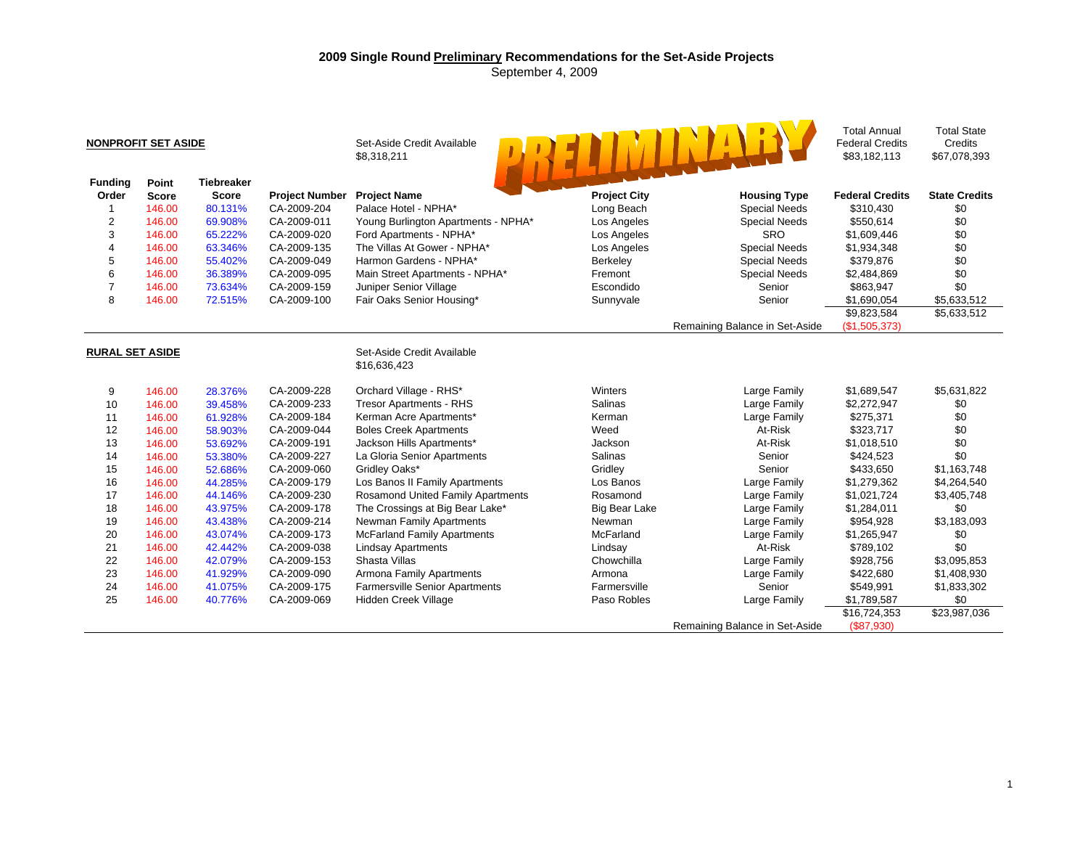## **2009 Single Round Preliminary Recommendations for the Set-Aside Projects**  September 4, 2009

| <b>NONPROFIT SET ASIDE</b> |              |                   |                       | Set-Aside Credit Available<br>\$8,318,211  |                      |                                | <b>Total Annual</b><br><b>Federal Credits</b><br>\$83,182,113 | <b>Total State</b><br>Credits<br>\$67,078,393 |
|----------------------------|--------------|-------------------|-----------------------|--------------------------------------------|----------------------|--------------------------------|---------------------------------------------------------------|-----------------------------------------------|
| <b>Funding</b>             | Point        | <b>Tiebreaker</b> |                       |                                            |                      |                                |                                                               |                                               |
| Order                      | <b>Score</b> | <b>Score</b>      | <b>Project Number</b> | <b>Project Name</b>                        | <b>Project City</b>  | <b>Housing Type</b>            | <b>Federal Credits</b>                                        | <b>State Credits</b>                          |
| 1                          | 146.00       | 80.131%           | CA-2009-204           | Palace Hotel - NPHA*                       | Long Beach           | <b>Special Needs</b>           | \$310,430                                                     | \$0                                           |
| 2                          | 146.00       | 69.908%           | CA-2009-011           | Young Burlington Apartments - NPHA*        | Los Angeles          | <b>Special Needs</b>           | \$550,614                                                     | \$0                                           |
| 3                          | 146.00       | 65.222%           | CA-2009-020           | Ford Apartments - NPHA*                    | Los Angeles          | <b>SRO</b>                     | \$1,609,446                                                   | \$0                                           |
| 4                          | 146.00       | 63.346%           | CA-2009-135           | The Villas At Gower - NPHA*                | Los Angeles          | <b>Special Needs</b>           | \$1,934,348                                                   | \$0                                           |
| 5                          | 146.00       | 55.402%           | CA-2009-049           | Harmon Gardens - NPHA*                     | Berkeley             | <b>Special Needs</b>           | \$379,876                                                     | \$0                                           |
| 6                          | 146.00       | 36.389%           | CA-2009-095           | Main Street Apartments - NPHA*             | Fremont              | <b>Special Needs</b>           | \$2,484,869                                                   | \$0                                           |
| $\overline{7}$             | 146.00       | 73.634%           | CA-2009-159           | Juniper Senior Village                     | Escondido            | Senior                         | \$863,947                                                     | \$0                                           |
| 8                          | 146.00       | 72.515%           | CA-2009-100           | Fair Oaks Senior Housing*                  | Sunnyvale            | Senior                         | \$1,690,054                                                   | \$5,633,512                                   |
|                            |              |                   |                       |                                            |                      |                                | \$9,823,584                                                   | \$5,633,512                                   |
|                            |              |                   |                       |                                            |                      | Remaining Balance in Set-Aside | (\$1,505,373)                                                 |                                               |
| <b>RURAL SET ASIDE</b>     |              |                   |                       | Set-Aside Credit Available<br>\$16,636,423 |                      |                                |                                                               |                                               |
| 9                          | 146.00       | 28.376%           | CA-2009-228           | Orchard Village - RHS*                     | Winters              | Large Family                   | \$1,689,547                                                   | \$5,631,822                                   |
| 10                         | 146.00       | 39.458%           | CA-2009-233           | <b>Tresor Apartments - RHS</b>             | Salinas              | Large Family                   | \$2,272,947                                                   | \$0                                           |
| 11                         | 146.00       | 61.928%           | CA-2009-184           | Kerman Acre Apartments*                    | Kerman               | Large Family                   | \$275,371                                                     | \$0                                           |
| 12                         | 146.00       | 58.903%           | CA-2009-044           | <b>Boles Creek Apartments</b>              | Weed                 | At-Risk                        | \$323,717                                                     | \$0                                           |
| 13                         | 146.00       | 53.692%           | CA-2009-191           | Jackson Hills Apartments*                  | Jackson              | At-Risk                        | \$1,018,510                                                   | \$0                                           |
| 14                         | 146.00       | 53.380%           | CA-2009-227           | La Gloria Senior Apartments                | <b>Salinas</b>       | Senior                         | \$424,523                                                     | \$0                                           |
| 15                         | 146.00       | 52.686%           | CA-2009-060           | Gridley Oaks*                              | Gridley              | Senior                         | \$433,650                                                     | \$1,163,748                                   |
| 16                         | 146.00       | 44.285%           | CA-2009-179           | Los Banos II Family Apartments             | Los Banos            | Large Family                   | \$1,279,362                                                   | \$4,264,540                                   |
| 17                         | 146.00       | 44.146%           | CA-2009-230           | <b>Rosamond United Family Apartments</b>   | Rosamond             | Large Family                   | \$1,021,724                                                   | \$3,405,748                                   |
| 18                         | 146.00       | 43.975%           | CA-2009-178           | The Crossings at Big Bear Lake*            | <b>Big Bear Lake</b> | Large Family                   | \$1,284,011                                                   | \$0                                           |
| 19                         | 146.00       | 43.438%           | CA-2009-214           | <b>Newman Family Apartments</b>            | Newman               | Large Family                   | \$954,928                                                     | \$3,183,093                                   |
| 20                         | 146.00       | 43.074%           | CA-2009-173           | <b>McFarland Family Apartments</b>         | McFarland            | Large Family                   | \$1,265,947                                                   | \$0                                           |
| 21                         | 146.00       | 42.442%           | CA-2009-038           | <b>Lindsay Apartments</b>                  | Lindsay              | At-Risk                        | \$789,102                                                     | \$0                                           |
| 22                         | 146.00       | 42.079%           | CA-2009-153           | Shasta Villas                              | Chowchilla           | Large Family                   | \$928,756                                                     | \$3,095,853                                   |
| 23                         | 146.00       | 41.929%           | CA-2009-090           | Armona Family Apartments                   | Armona               | Large Family                   | \$422,680                                                     | \$1,408,930                                   |
| 24                         | 146.00       | 41.075%           | CA-2009-175           | <b>Farmersville Senior Apartments</b>      | Farmersville         | Senior                         | \$549,991                                                     | \$1,833,302                                   |
| 25                         | 146.00       | 40.776%           | CA-2009-069           | Hidden Creek Village                       | Paso Robles          | Large Family                   | \$1,789,587                                                   | \$0                                           |
|                            |              |                   |                       |                                            |                      |                                | \$16,724,353                                                  | \$23,987,036                                  |
|                            |              |                   |                       |                                            |                      | Remaining Balance in Set-Aside | (\$87,930)                                                    |                                               |